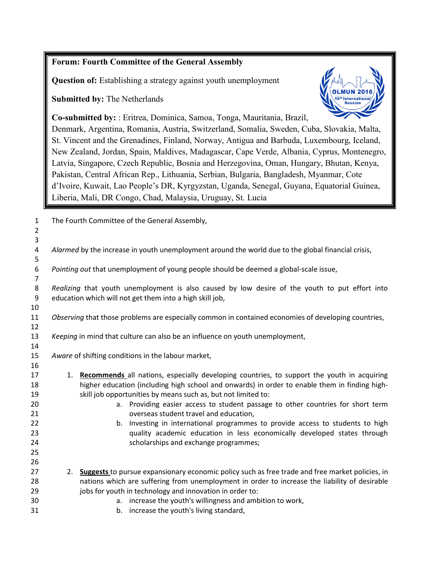## **Forum: Fourth Committee of the General Assembly**

**Question of:** Establishing a strategy against youth unemployment

**Submitted by:** The Netherlands



**Co-submitted by:** : Eritrea, Dominica, Samoa, Tonga, Mauritania, Brazil,

Denmark, Argentina, Romania, Austria, Switzerland, Somalia, Sweden, Cuba, Slovakia, Malta, St. Vincent and the Grenadines, Finland, Norway, Antigua and Barbuda, Luxembourg, Iceland, New Zealand, Jordan, Spain, Maldives, Madagascar, Cape Verde, Albania, Cyprus, Montenegro, Latvia, Singapore, Czech Republic, Bosnia and Herzegovina, Oman, Hungary, Bhutan, Kenya, Pakistan, Central African Rep., Lithuania, Serbian, Bulgaria, Bangladesh, Myanmar, Cote d'Ivoire, Kuwait, Lao People's DR, Kyrgyzstan, Uganda, Senegal, Guyana, Equatorial Guinea, Liberia, Mali, DR Congo, Chad, Malaysia, Uruguay, St. Lucia

 The Fourth Committee of the General Assembly, *Alarmed* by the increase in youth unemployment around the world due to the global financial crisis, *Pointing out* that unemployment of young people should be deemed a global-scale issue, *Realizing* that youth unemployment is also caused by low desire of the youth to put effort into education which will not get them into a high skill job, *Observing* that those problems are especially common in contained economies of developing countries, *Keeping* in mind that culture can also be an influence on youth unemployment, *Aware* of shifting conditions in the labour market, 1. **Recommends** all nations, especially developing countries, to support the youth in acquiring higher education (including high school and onwards) in order to enable them in finding high- skill job opportunities by means such as, but not limited to: a. Providing easier access to student passage to other countries for short term overseas student travel and education, b. Investing in international programmes to provide access to students to high quality academic education in less economically developed states through scholarships and exchange programmes; 2. **Suggests** to pursue expansionary economic policy such as free trade and free market policies, in nations which are suffering from unemployment in order to increase the liability of desirable 29 jobs for youth in technology and innovation in order to: a. increase the youth's willingness and ambition to work, b. increase the youth's living standard,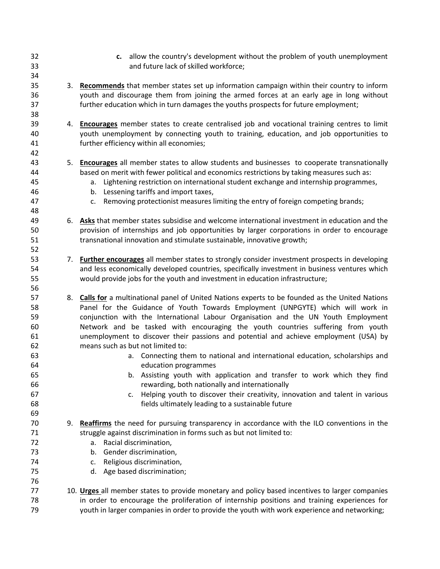**c.** allow the country's development without the problem of youth unemployment and future lack of skilled workforce; 3. **Recommends** that member states set up information campaign within their country to inform youth and discourage them from joining the armed forces at an early age in long without further education which in turn damages the youths prospects for future employment; 4. **Encourages** member states to create centralised job and vocational training centres to limit youth unemployment by connecting youth to training, education, and job opportunities to further efficiency within all economies; 5. **Encourages** all member states to allow students and businesses to cooperate transnationally based on merit with fewer political and economics restrictions by taking measures such as: a. Lightening restriction on international student exchange and internship programmes, b. Lessening tariffs and import taxes, c. Removing protectionist measures limiting the entry of foreign competing brands; 6. **Asks** that member states subsidise and welcome international investment in education and the provision of internships and job opportunities by larger corporations in order to encourage transnational innovation and stimulate sustainable, innovative growth; 7. **Further encourages** all member states to strongly consider investment prospects in developing and less economically developed countries, specifically investment in business ventures which would provide jobs for the youth and investment in education infrastructure; 8. **Calls for** a multinational panel of United Nations experts to be founded as the United Nations Panel for the Guidance of Youth Towards Employment (UNPGYTE) which will work in conjunction with the International Labour Organisation and the UN Youth Employment Network and be tasked with encouraging the youth countries suffering from youth unemployment to discover their passions and potential and achieve employment (USA) by means such as but not limited to: a. Connecting them to national and international education, scholarships and education programmes b. Assisting youth with application and transfer to work which they find rewarding, both nationally and internationally c. Helping youth to discover their creativity, innovation and talent in various fields ultimately leading to a sustainable future 9. **Reaffirms** the need for pursuing transparency in accordance with the ILO conventions in the 71 struggle against discrimination in forms such as but not limited to: a. Racial discrimination, b. Gender discrimination, c. Religious discrimination, d. Age based discrimination; 10. **Urges** all member states to provide monetary and policy based incentives to larger companies in order to encourage the proliferation of internship positions and training experiences for 79 youth in larger companies in order to provide the youth with work experience and networking;